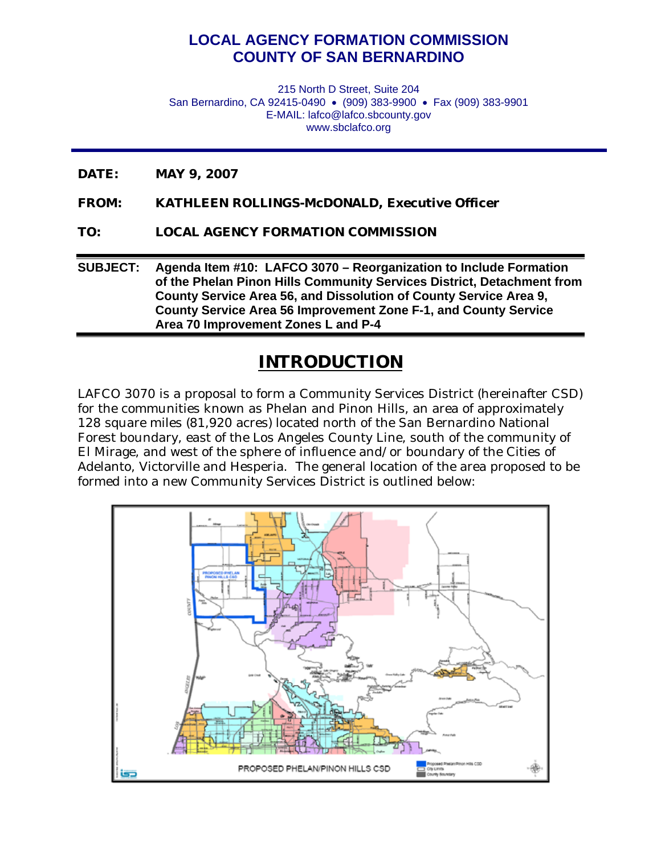## **LOCAL AGENCY FORMATION COMMISSION COUNTY OF SAN BERNARDINO**

215 North D Street, Suite 204 San Bernardino, CA 92415-0490 · (909) 383-9900 · Fax (909) 383-9901 E-MAIL: lafco@lafco.sbcounty.gov www.sbclafco.org

- **DATE: MAY 9, 2007**
- **FROM: KATHLEEN ROLLINGS-McDONALD, Executive Officer**
- **TO: LOCAL AGENCY FORMATION COMMISSION**

**SUBJECT: Agenda Item #10: LAFCO 3070 – Reorganization to Include Formation of the Phelan Pinon Hills Community Services District, Detachment from County Service Area 56, and Dissolution of County Service Area 9, County Service Area 56 Improvement Zone F-1, and County Service Area 70 Improvement Zones L and P-4**

## **INTRODUCTION**

LAFCO 3070 is a proposal to form a Community Services District (hereinafter CSD) for the communities known as Phelan and Pinon Hills, an area of approximately 128 square miles (81,920 acres) located north of the San Bernardino National Forest boundary, east of the Los Angeles County Line, south of the community of El Mirage, and west of the sphere of influence and/or boundary of the Cities of Adelanto, Victorville and Hesperia. The general location of the area proposed to be formed into a new Community Services District is outlined below:

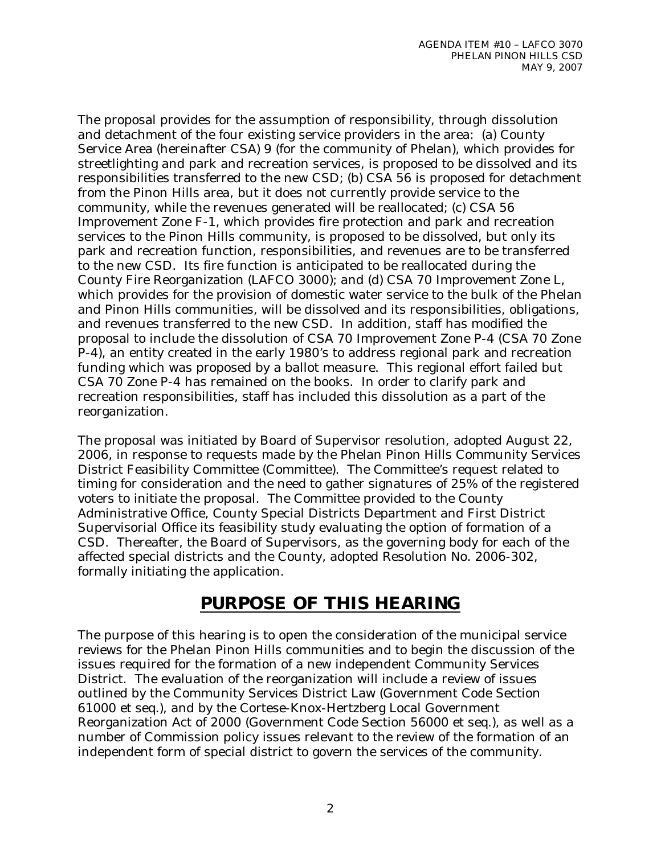The proposal provides for the assumption of responsibility, through dissolution and detachment of the four existing service providers in the area: (a) County Service Area (hereinafter CSA) 9 (for the community of Phelan), which provides for streetlighting and park and recreation services, is proposed to be dissolved and its responsibilities transferred to the new CSD; (b) CSA 56 is proposed for detachment from the Pinon Hills area, but it does not currently provide service to the community, while the revenues generated will be reallocated; (c) CSA 56 Improvement Zone F-1, which provides fire protection and park and recreation services to the Pinon Hills community, is proposed to be dissolved, but only its park and recreation function, responsibilities, and revenues are to be transferred to the new CSD. Its fire function is anticipated to be reallocated during the County Fire Reorganization (LAFCO 3000); and (d) CSA 70 Improvement Zone L, which provides for the provision of domestic water service to the bulk of the Phelan and Pinon Hills communities, will be dissolved and its responsibilities, obligations, and revenues transferred to the new CSD. In addition, staff has modified the proposal to include the dissolution of CSA 70 Improvement Zone P-4 (CSA 70 Zone P-4), an entity created in the early 1980's to address regional park and recreation funding which was proposed by a ballot measure. This regional effort failed but CSA 70 Zone P-4 has remained on the books. In order to clarify park and recreation responsibilities, staff has included this dissolution as a part of the reorganization.

The proposal was initiated by Board of Supervisor resolution, adopted August 22, 2006, in response to requests made by the Phelan Pinon Hills Community Services District Feasibility Committee (Committee). The Committee's request related to timing for consideration and the need to gather signatures of 25% of the registered voters to initiate the proposal. The Committee provided to the County Administrative Office, County Special Districts Department and First District Supervisorial Office its feasibility study evaluating the option of formation of a CSD. Thereafter, the Board of Supervisors, as the governing body for each of the affected special districts and the County, adopted Resolution No. 2006-302, formally initiating the application.

# **PURPOSE OF THIS HEARING**

The purpose of this hearing is to open the consideration of the municipal service reviews for the Phelan Pinon Hills communities and to begin the discussion of the issues required for the formation of a new independent Community Services District. The evaluation of the reorganization will include a review of issues outlined by the Community Services District Law (Government Code Section 61000 et seq.), and by the Cortese-Knox-Hertzberg Local Government Reorganization Act of 2000 (Government Code Section 56000 et seq.), as well as a number of Commission policy issues relevant to the review of the formation of an independent form of special district to govern the services of the community.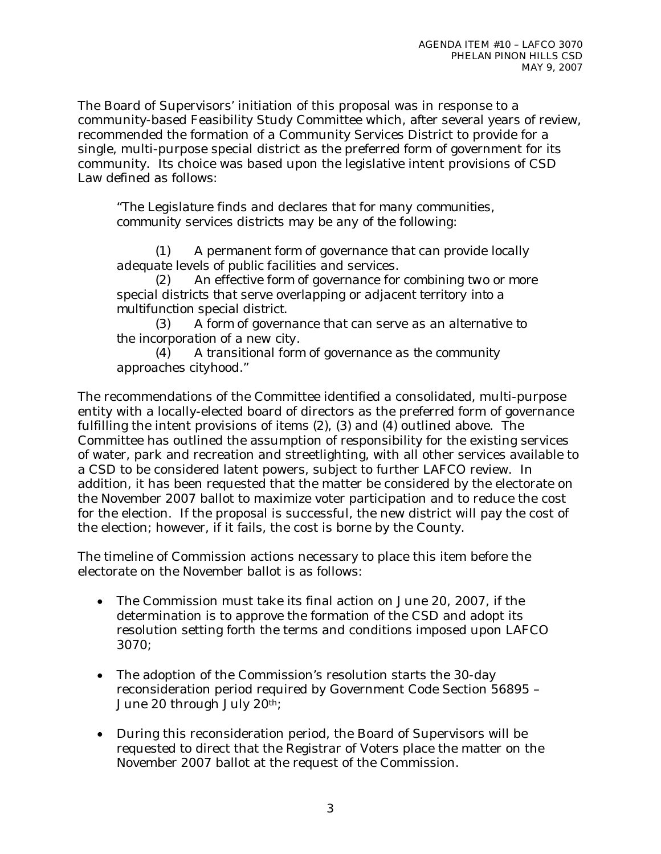The Board of Supervisors' initiation of this proposal was in response to a community-based Feasibility Study Committee which, after several years of review, recommended the formation of a Community Services District to provide for a single, multi-purpose special district as the preferred form of government for its community. Its choice was based upon the legislative intent provisions of CSD Law defined as follows:

*"The Legislature finds and declares that for many communities, community services districts may be any of the following:* 

 *(1) A permanent form of governance that can provide locally adequate levels of public facilities and services.* 

 *(2) An effective form of governance for combining two or more special districts that serve overlapping or adjacent territory into a multifunction special district.* 

 *(3) A form of governance that can serve as an alternative to the incorporation of a new city.* 

 *(4) A transitional form of governance as the community approaches cityhood."* 

The recommendations of the Committee identified a consolidated, multi-purpose entity with a locally-elected board of directors as the preferred form of governance fulfilling the intent provisions of items (2), (3) and (4) outlined above. The Committee has outlined the assumption of responsibility for the existing services of water, park and recreation and streetlighting, with all other services available to a CSD to be considered latent powers, subject to further LAFCO review. In addition, it has been requested that the matter be considered by the electorate on the November 2007 ballot to maximize voter participation and to reduce the cost for the election. If the proposal is successful, the new district will pay the cost of the election; however, if it fails, the cost is borne by the County.

The timeline of Commission actions necessary to place this item before the electorate on the November ballot is as follows:

- The Commission must take its final action on June 20, 2007, if the determination is to approve the formation of the CSD and adopt its resolution setting forth the terms and conditions imposed upon LAFCO 3070;
- The adoption of the Commission's resolution starts the 30-day reconsideration period required by Government Code Section 56895 – June 20 through July 20th;
- During this reconsideration period, the Board of Supervisors will be requested to direct that the Registrar of Voters place the matter on the November 2007 ballot at the request of the Commission.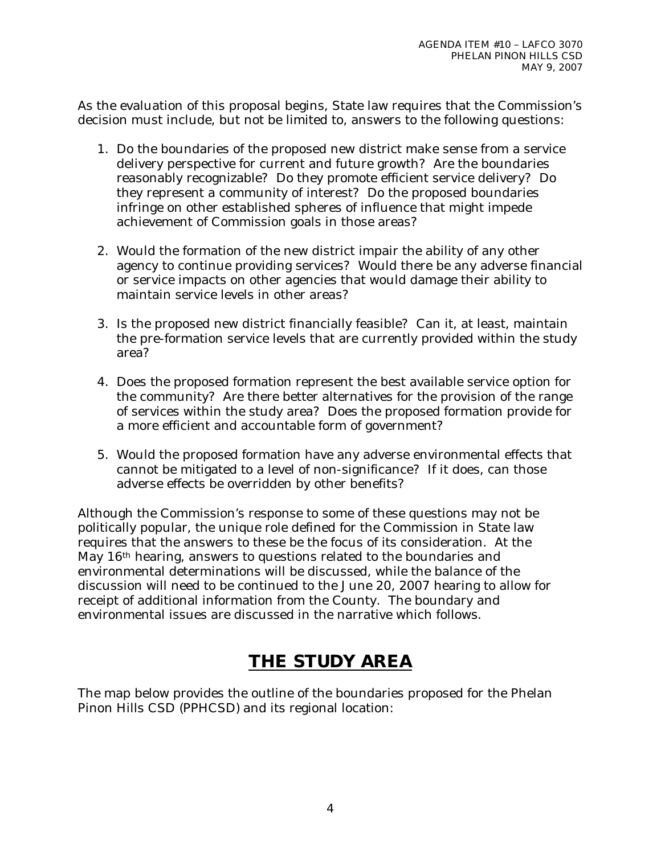As the evaluation of this proposal begins, State law requires that the Commission's decision must include, but not be limited to, answers to the following questions:

- 1. Do the boundaries of the proposed new district make sense from a service delivery perspective for current and future growth? Are the boundaries reasonably recognizable? Do they promote efficient service delivery? Do they represent a community of interest? Do the proposed boundaries infringe on other established spheres of influence that might impede achievement of Commission goals in those areas?
- 2. Would the formation of the new district impair the ability of any other agency to continue providing services? Would there be any adverse financial or service impacts on other agencies that would damage their ability to maintain service levels in other areas?
- 3. Is the proposed new district financially feasible? Can it, at least, maintain the pre-formation service levels that are currently provided within the study area?
- 4. Does the proposed formation represent the best available service option for the community? Are there better alternatives for the provision of the range of services within the study area? Does the proposed formation provide for a more efficient and accountable form of government?
- 5. Would the proposed formation have any adverse environmental effects that cannot be mitigated to a level of non-significance? If it does, can those adverse effects be overridden by other benefits?

Although the Commission's response to some of these questions may not be politically popular, the unique role defined for the Commission in State law requires that the answers to these be the focus of its consideration. At the May 16<sup>th</sup> hearing, answers to questions related to the boundaries and environmental determinations will be discussed, while the balance of the discussion will need to be continued to the June 20, 2007 hearing to allow for receipt of additional information from the County. The boundary and environmental issues are discussed in the narrative which follows.

# **THE STUDY AREA**

The map below provides the outline of the boundaries proposed for the Phelan Pinon Hills CSD (PPHCSD) and its regional location: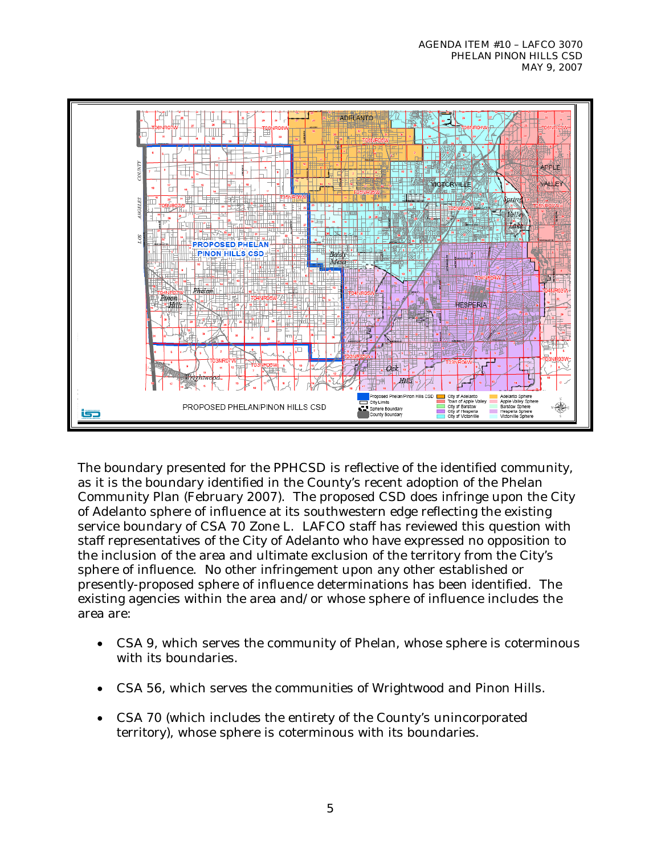

The boundary presented for the PPHCSD is reflective of the identified community, as it is the boundary identified in the County's recent adoption of the Phelan Community Plan (February 2007). The proposed CSD does infringe upon the City of Adelanto sphere of influence at its southwestern edge reflecting the existing service boundary of CSA 70 Zone L. LAFCO staff has reviewed this question with staff representatives of the City of Adelanto who have expressed no opposition to the inclusion of the area and ultimate exclusion of the territory from the City's sphere of influence. No other infringement upon any other established or presently-proposed sphere of influence determinations has been identified. The existing agencies within the area and/or whose sphere of influence includes the area are:

- CSA 9, which serves the community of Phelan, whose sphere is coterminous with its boundaries.
- CSA 56, which serves the communities of Wrightwood and Pinon Hills.
- CSA 70 (which includes the entirety of the County's unincorporated territory), whose sphere is coterminous with its boundaries.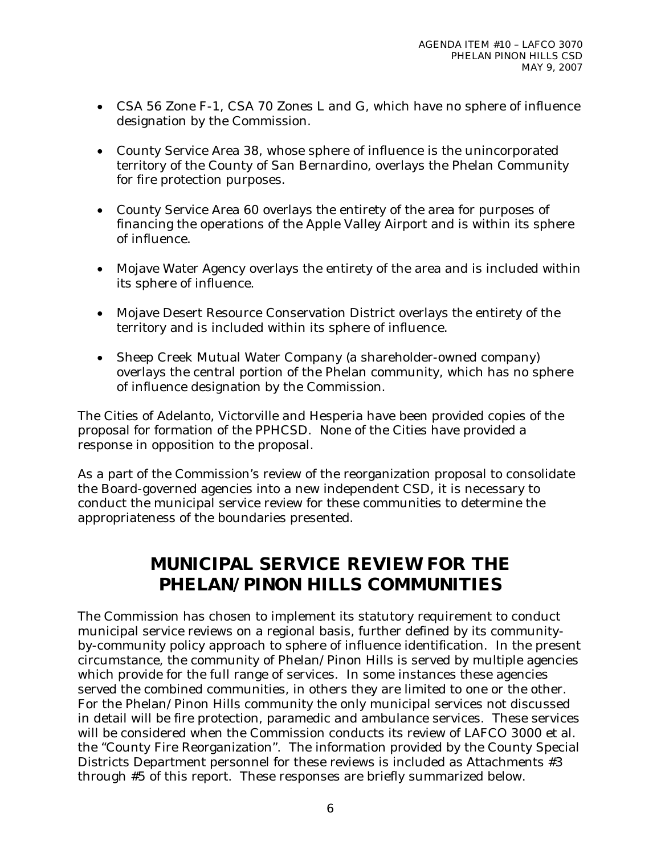- CSA 56 Zone F-1, CSA 70 Zones L and G, which have no sphere of influence designation by the Commission.
- County Service Area 38, whose sphere of influence is the unincorporated territory of the County of San Bernardino, overlays the Phelan Community for fire protection purposes.
- County Service Area 60 overlays the entirety of the area for purposes of financing the operations of the Apple Valley Airport and is within its sphere of influence.
- Mojave Water Agency overlays the entirety of the area and is included within its sphere of influence.
- Mojave Desert Resource Conservation District overlays the entirety of the territory and is included within its sphere of influence.
- Sheep Creek Mutual Water Company (a shareholder-owned company) overlays the central portion of the Phelan community, which has no sphere of influence designation by the Commission.

The Cities of Adelanto, Victorville and Hesperia have been provided copies of the proposal for formation of the PPHCSD. None of the Cities have provided a response in opposition to the proposal.

As a part of the Commission's review of the reorganization proposal to consolidate the Board-governed agencies into a new independent CSD, it is necessary to conduct the municipal service review for these communities to determine the appropriateness of the boundaries presented.

# **MUNICIPAL SERVICE REVIEW FOR THE PHELAN/PINON HILLS COMMUNITIES**

The Commission has chosen to implement its statutory requirement to conduct municipal service reviews on a regional basis, further defined by its communityby-community policy approach to sphere of influence identification. In the present circumstance, the community of Phelan/Pinon Hills is served by multiple agencies which provide for the full range of services. In some instances these agencies served the combined communities, in others they are limited to one or the other. For the Phelan/Pinon Hills community the only municipal services not discussed in detail will be fire protection, paramedic and ambulance services. These services will be considered when the Commission conducts its review of LAFCO 3000 et al. the "County Fire Reorganization". The information provided by the County Special Districts Department personnel for these reviews is included as Attachments #3 through #5 of this report. These responses are briefly summarized below.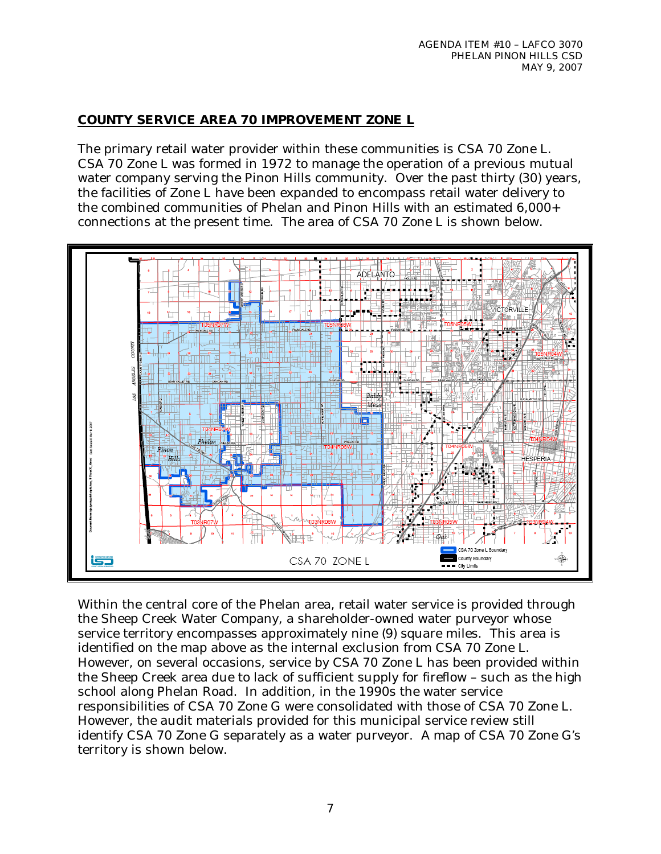## **COUNTY SERVICE AREA 70 IMPROVEMENT ZONE L**

The primary retail water provider within these communities is CSA 70 Zone L. CSA 70 Zone L was formed in 1972 to manage the operation of a previous mutual water company serving the Pinon Hills community. Over the past thirty (30) years, the facilities of Zone L have been expanded to encompass retail water delivery to the combined communities of Phelan and Pinon Hills with an estimated 6,000+ connections at the present time. The area of CSA 70 Zone L is shown below.



Within the central core of the Phelan area, retail water service is provided through the Sheep Creek Water Company, a shareholder-owned water purveyor whose service territory encompasses approximately nine (9) square miles. This area is identified on the map above as the internal exclusion from CSA 70 Zone L. However, on several occasions, service by CSA 70 Zone L has been provided within the Sheep Creek area due to lack of sufficient supply for fireflow – such as the high school along Phelan Road. In addition, in the 1990s the water service responsibilities of CSA 70 Zone G were consolidated with those of CSA 70 Zone L. However, the audit materials provided for this municipal service review still identify CSA 70 Zone G separately as a water purveyor. A map of CSA 70 Zone G's territory is shown below.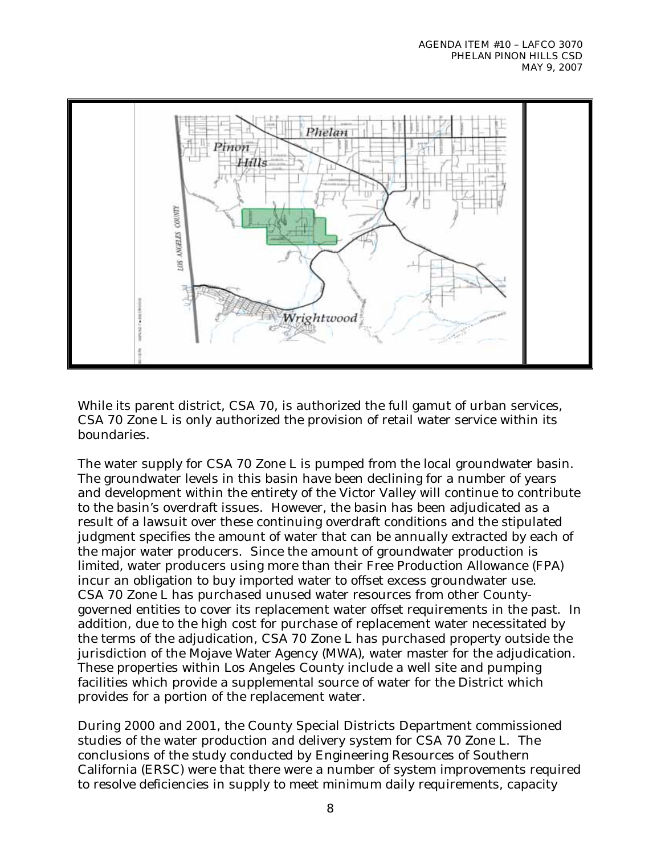

While its parent district, CSA 70, is authorized the full gamut of urban services, CSA 70 Zone L is only authorized the provision of retail water service within its boundaries.

The water supply for CSA 70 Zone L is pumped from the local groundwater basin. The groundwater levels in this basin have been declining for a number of years and development within the entirety of the Victor Valley will continue to contribute to the basin's overdraft issues. However, the basin has been adjudicated as a result of a lawsuit over these continuing overdraft conditions and the stipulated judgment specifies the amount of water that can be annually extracted by each of the major water producers. Since the amount of groundwater production is limited, water producers using more than their Free Production Allowance (FPA) incur an obligation to buy imported water to offset excess groundwater use. CSA 70 Zone L has purchased unused water resources from other Countygoverned entities to cover its replacement water offset requirements in the past. In addition, due to the high cost for purchase of replacement water necessitated by the terms of the adjudication, CSA 70 Zone L has purchased property outside the jurisdiction of the Mojave Water Agency (MWA), water master for the adjudication. These properties within Los Angeles County include a well site and pumping facilities which provide a supplemental source of water for the District which provides for a portion of the replacement water.

During 2000 and 2001, the County Special Districts Department commissioned studies of the water production and delivery system for CSA 70 Zone L. The conclusions of the study conducted by Engineering Resources of Southern California (ERSC) were that there were a number of system improvements required to resolve deficiencies in supply to meet minimum daily requirements, capacity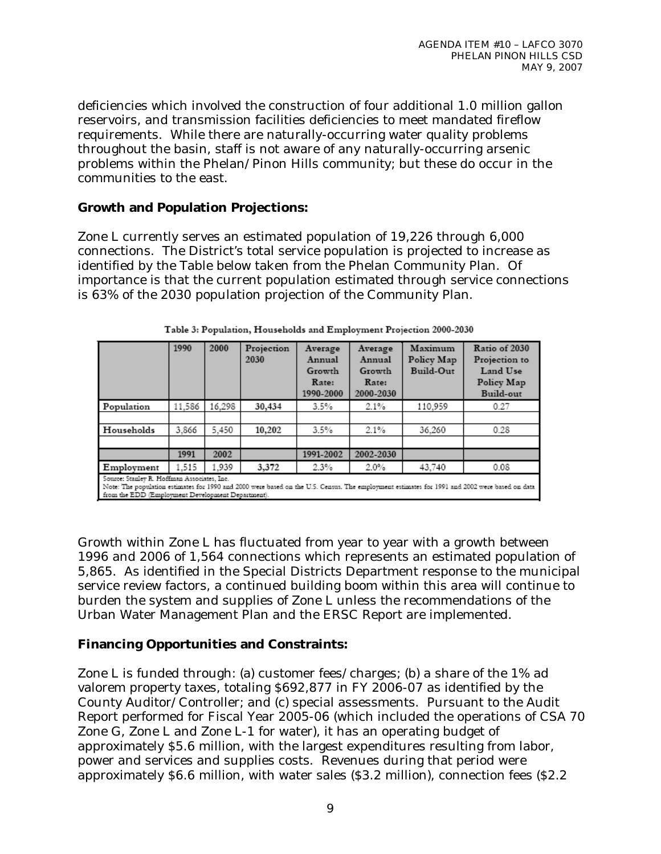deficiencies which involved the construction of four additional 1.0 million gallon reservoirs, and transmission facilities deficiencies to meet mandated fireflow requirements. While there are naturally-occurring water quality problems throughout the basin, staff is not aware of any naturally-occurring arsenic problems within the Phelan/Pinon Hills community; but these do occur in the communities to the east.

### **Growth and Population Projections:**

Zone L currently serves an estimated population of 19,226 through 6,000 connections. The District's total service population is projected to increase as identified by the Table below taken from the Phelan Community Plan. Of importance is that the current population estimated through service connections is 63% of the 2030 population projection of the Community Plan.

|                                                                                                                                                                                                                                                   | 1990   | 2000   | Projection<br>2030 | Average<br>Annual<br>Growth<br>Rate:<br>1990-2000 | Average<br>Annual<br>Growth<br>Rate:<br>2000-2030 | Maximum<br>Policy Map<br>Build-Out | Ratio of 2030<br>Projection to<br>Land Use<br>Policy Map<br>Build-out |
|---------------------------------------------------------------------------------------------------------------------------------------------------------------------------------------------------------------------------------------------------|--------|--------|--------------------|---------------------------------------------------|---------------------------------------------------|------------------------------------|-----------------------------------------------------------------------|
| Population                                                                                                                                                                                                                                        | 11.586 | 16.298 | 30,434             | 3.5%                                              | 2.1%                                              | 110.959                            | 0.27                                                                  |
|                                                                                                                                                                                                                                                   |        |        |                    |                                                   |                                                   |                                    |                                                                       |
| Households                                                                                                                                                                                                                                        | 3,866  | 5,450  | 10,202             | 3.5%                                              | 2.1%                                              | 36.260                             | 0.28                                                                  |
|                                                                                                                                                                                                                                                   |        |        |                    |                                                   |                                                   |                                    |                                                                       |
|                                                                                                                                                                                                                                                   | 1991   | 2002   |                    | 1991-2002                                         | 2002-2030                                         |                                    |                                                                       |
| Employment                                                                                                                                                                                                                                        | 1.515  | 1.939  | 3,372              | 2.3%                                              | 2.0%                                              | 43,740                             | 0.08                                                                  |
| Source: Stanley R. Hoffman Associates, Inc.<br>Note: The population estimates for 1990 and 2000 were based on the U.S. Census. The employment estimates for 1991 and 2002 were based on data<br>from the EDD (Employment Development Department). |        |        |                    |                                                   |                                                   |                                    |                                                                       |

| Table 3: Population, Households and Employment Projection 2000-2030 |  |  |  |  |
|---------------------------------------------------------------------|--|--|--|--|
|---------------------------------------------------------------------|--|--|--|--|

Growth within Zone L has fluctuated from year to year with a growth between 1996 and 2006 of 1,564 connections which represents an estimated population of 5,865. As identified in the Special Districts Department response to the municipal service review factors, a continued building boom within this area will continue to burden the system and supplies of Zone L unless the recommendations of the Urban Water Management Plan and the ERSC Report are implemented.

## **Financing Opportunities and Constraints:**

Zone L is funded through: (a) customer fees/charges; (b) a share of the 1% ad valorem property taxes, totaling \$692,877 in FY 2006-07 as identified by the County Auditor/Controller; and (c) special assessments. Pursuant to the Audit Report performed for Fiscal Year 2005-06 (which included the operations of CSA 70 Zone G, Zone L and Zone L-1 for water), it has an operating budget of approximately \$5.6 million, with the largest expenditures resulting from labor, power and services and supplies costs. Revenues during that period were approximately \$6.6 million, with water sales (\$3.2 million), connection fees (\$2.2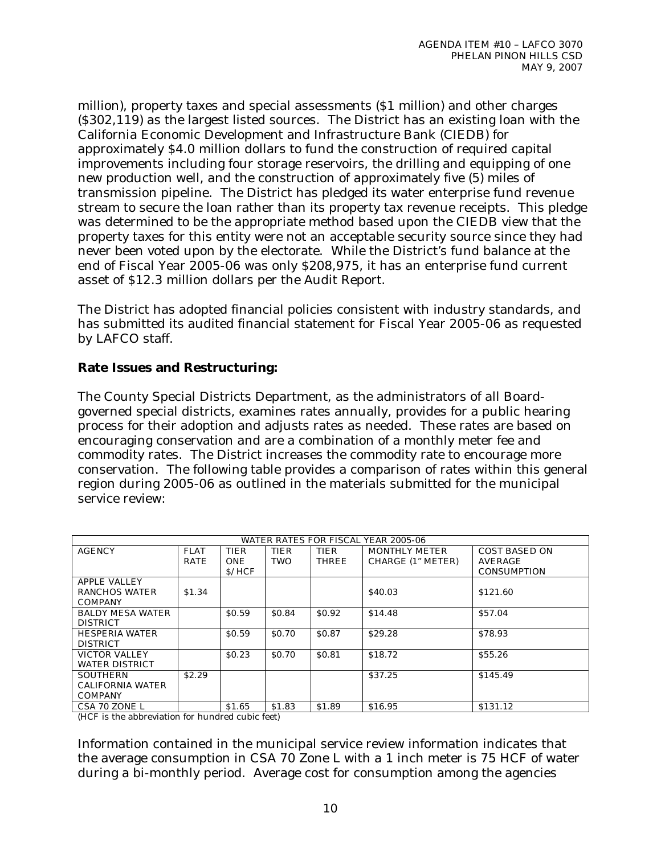million), property taxes and special assessments (\$1 million) and other charges (\$302,119) as the largest listed sources. The District has an existing loan with the California Economic Development and Infrastructure Bank (CIEDB) for approximately \$4.0 million dollars to fund the construction of required capital improvements including four storage reservoirs, the drilling and equipping of one new production well, and the construction of approximately five (5) miles of transmission pipeline. The District has pledged its water enterprise fund revenue stream to secure the loan rather than its property tax revenue receipts. This pledge was determined to be the appropriate method based upon the CIEDB view that the property taxes for this entity were not an acceptable security source since they had never been voted upon by the electorate. While the District's fund balance at the end of Fiscal Year 2005-06 was only \$208,975, it has an enterprise fund current asset of \$12.3 million dollars per the Audit Report.

The District has adopted financial policies consistent with industry standards, and has submitted its audited financial statement for Fiscal Year 2005-06 as requested by LAFCO staff.

## **Rate Issues and Restructuring:**

The County Special Districts Department, as the administrators of all Boardgoverned special districts, examines rates annually, provides for a public hearing process for their adoption and adjusts rates as needed. These rates are based on encouraging conservation and are a combination of a monthly meter fee and commodity rates. The District increases the commodity rate to encourage more conservation. The following table provides a comparison of rates within this general region during 2005-06 as outlined in the materials submitted for the municipal service review:

| WATER RATES FOR FISCAL YEAR 2005-06             |                            |                                     |                           |                      |                                           |                                                |
|-------------------------------------------------|----------------------------|-------------------------------------|---------------------------|----------------------|-------------------------------------------|------------------------------------------------|
| <b>AGENCY</b>                                   | <b>FLAT</b><br><b>RATE</b> | <b>TIER</b><br><b>ONE</b><br>\$/HCF | <b>TIER</b><br><b>TWO</b> | TIER<br><b>THREE</b> | <b>MONTHLY METER</b><br>CHARGE (1" METER) | COST BASED ON<br>AVERAGE<br><b>CONSUMPTION</b> |
| APPLE VALLEY<br>RANCHOS WATER<br><b>COMPANY</b> | \$1.34                     |                                     |                           |                      | \$40.03                                   | \$121.60                                       |
| <b>BALDY MESA WATER</b><br><b>DISTRICT</b>      |                            | \$0.59                              | \$0.84                    | \$0.92               | \$14.48                                   | \$57.04                                        |
| <b>HESPERIA WATER</b><br><b>DISTRICT</b>        |                            | \$0.59                              | \$0.70                    | \$0.87               | \$29.28                                   | \$78.93                                        |
| VICTOR VALLEY<br><b>WATER DISTRICT</b>          |                            | \$0.23                              | \$0.70                    | \$0.81               | \$18.72                                   | \$55.26                                        |
| SOUTHERN<br>CALIFORNIA WATER<br>COMPANY         | \$2.29                     |                                     |                           |                      | \$37.25                                   | \$145.49                                       |
| CSA 70 ZONE L                                   |                            | \$1.65                              | \$1.83                    | \$1.89               | \$16.95                                   | \$131.12                                       |

(HCF is the abbreviation for hundred cubic feet)

Information contained in the municipal service review information indicates that the average consumption in CSA 70 Zone L with a 1 inch meter is 75 HCF of water during a bi-monthly period. Average cost for consumption among the agencies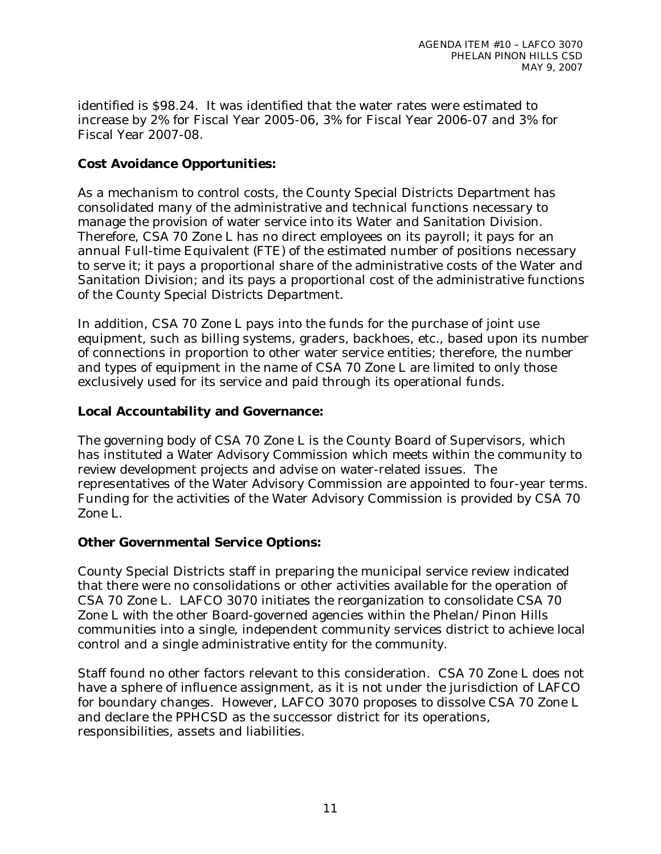identified is \$98.24. It was identified that the water rates were estimated to increase by 2% for Fiscal Year 2005-06, 3% for Fiscal Year 2006-07 and 3% for Fiscal Year 2007-08.

### **Cost Avoidance Opportunities:**

As a mechanism to control costs, the County Special Districts Department has consolidated many of the administrative and technical functions necessary to manage the provision of water service into its Water and Sanitation Division. Therefore, CSA 70 Zone L has no direct employees on its payroll; it pays for an annual Full-time Equivalent (FTE) of the estimated number of positions necessary to serve it; it pays a proportional share of the administrative costs of the Water and Sanitation Division; and its pays a proportional cost of the administrative functions of the County Special Districts Department.

In addition, CSA 70 Zone L pays into the funds for the purchase of joint use equipment, such as billing systems, graders, backhoes, etc., based upon its number of connections in proportion to other water service entities; therefore, the number and types of equipment in the name of CSA 70 Zone L are limited to only those exclusively used for its service and paid through its operational funds.

### **Local Accountability and Governance:**

The governing body of CSA 70 Zone L is the County Board of Supervisors, which has instituted a Water Advisory Commission which meets within the community to review development projects and advise on water-related issues. The representatives of the Water Advisory Commission are appointed to four-year terms. Funding for the activities of the Water Advisory Commission is provided by CSA 70 Zone L.

### **Other Governmental Service Options:**

County Special Districts staff in preparing the municipal service review indicated that there were no consolidations or other activities available for the operation of CSA 70 Zone L. LAFCO 3070 initiates the reorganization to consolidate CSA 70 Zone L with the other Board-governed agencies within the Phelan/Pinon Hills communities into a single, independent community services district to achieve local control and a single administrative entity for the community.

Staff found no other factors relevant to this consideration. CSA 70 Zone L does not have a sphere of influence assignment, as it is not under the jurisdiction of LAFCO for boundary changes. However, LAFCO 3070 proposes to dissolve CSA 70 Zone L and declare the PPHCSD as the successor district for its operations, responsibilities, assets and liabilities.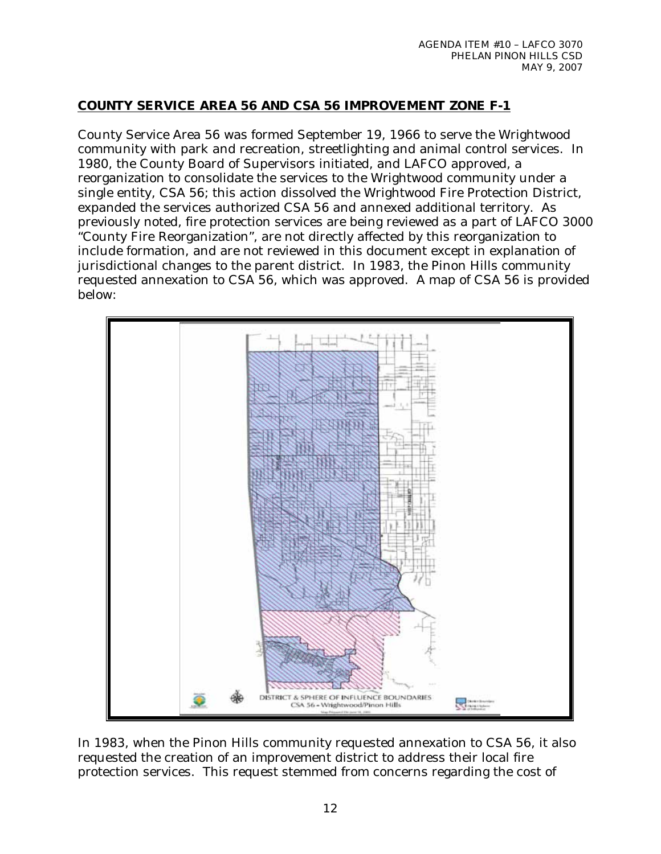## **COUNTY SERVICE AREA 56 AND CSA 56 IMPROVEMENT ZONE F-1**

County Service Area 56 was formed September 19, 1966 to serve the Wrightwood community with park and recreation, streetlighting and animal control services. In 1980, the County Board of Supervisors initiated, and LAFCO approved, a reorganization to consolidate the services to the Wrightwood community under a single entity, CSA 56; this action dissolved the Wrightwood Fire Protection District, expanded the services authorized CSA 56 and annexed additional territory. As previously noted, fire protection services are being reviewed as a part of LAFCO 3000 "County Fire Reorganization", are not directly affected by this reorganization to include formation, and are not reviewed in this document except in explanation of jurisdictional changes to the parent district. In 1983, the Pinon Hills community requested annexation to CSA 56, which was approved. A map of CSA 56 is provided below:



In 1983, when the Pinon Hills community requested annexation to CSA 56, it also requested the creation of an improvement district to address their local fire protection services. This request stemmed from concerns regarding the cost of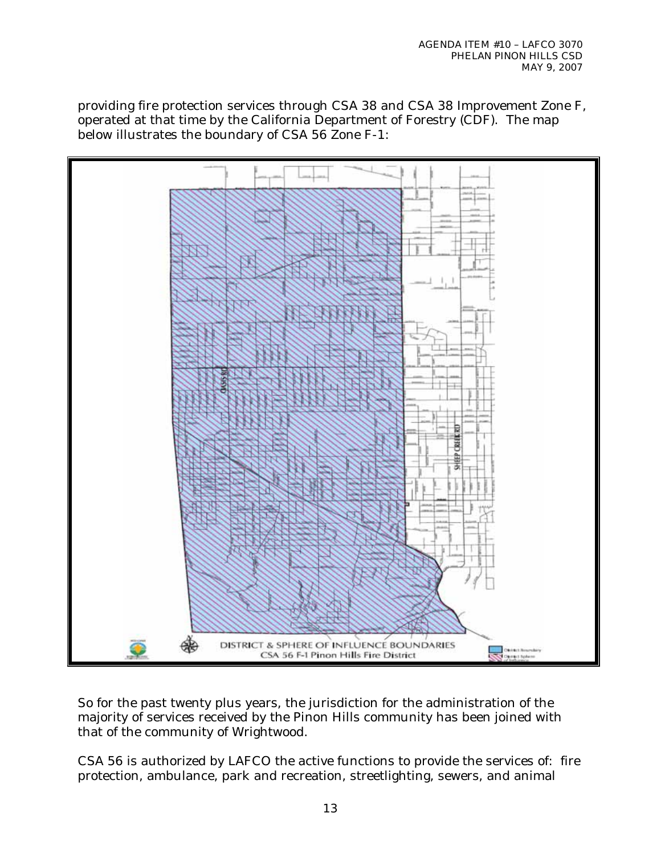providing fire protection services through CSA 38 and CSA 38 Improvement Zone F, operated at that time by the California Department of Forestry (CDF). The map below illustrates the boundary of CSA 56 Zone F-1:



So for the past twenty plus years, the jurisdiction for the administration of the majority of services received by the Pinon Hills community has been joined with that of the community of Wrightwood.

CSA 56 is authorized by LAFCO the active functions to provide the services of: fire protection, ambulance, park and recreation, streetlighting, sewers, and animal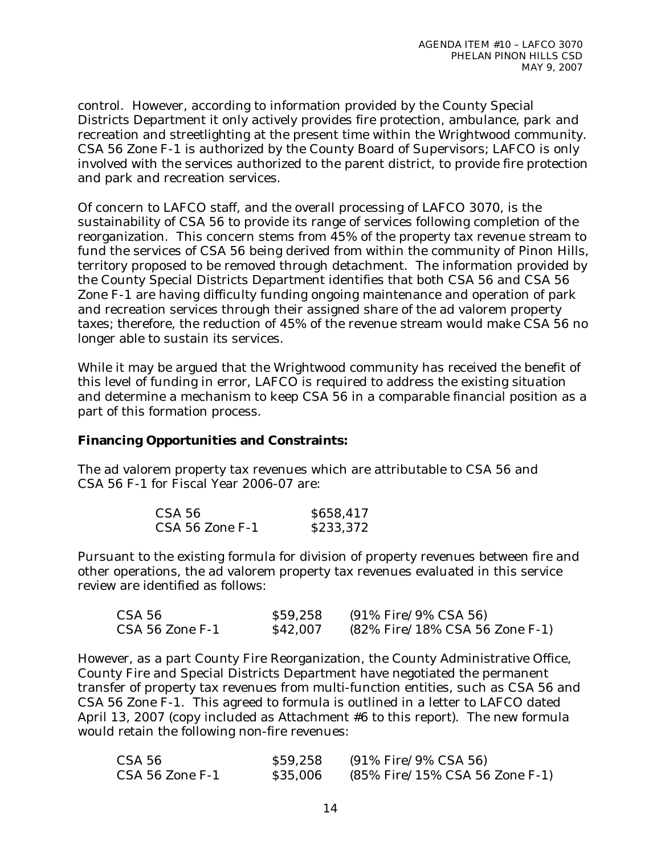control. However, according to information provided by the County Special Districts Department it only actively provides fire protection, ambulance, park and recreation and streetlighting at the present time within the Wrightwood community. CSA 56 Zone F-1 is authorized by the County Board of Supervisors; LAFCO is only involved with the services authorized to the parent district, to provide fire protection and park and recreation services.

Of concern to LAFCO staff, and the overall processing of LAFCO 3070, is the sustainability of CSA 56 to provide its range of services following completion of the reorganization. This concern stems from 45% of the property tax revenue stream to fund the services of CSA 56 being derived from within the community of Pinon Hills, territory proposed to be removed through detachment. The information provided by the County Special Districts Department identifies that both CSA 56 and CSA 56 Zone F-1 are having difficulty funding ongoing maintenance and operation of park and recreation services through their assigned share of the ad valorem property taxes; therefore, the reduction of 45% of the revenue stream would make CSA 56 no longer able to sustain its services.

While it may be argued that the Wrightwood community has received the benefit of this level of funding in error, LAFCO is required to address the existing situation and determine a mechanism to keep CSA 56 in a comparable financial position as a part of this formation process.

### **Financing Opportunities and Constraints:**

The ad valorem property tax revenues which are attributable to CSA 56 and CSA 56 F-1 for Fiscal Year 2006-07 are:

| CSA 56          | \$658,417 |
|-----------------|-----------|
| CSA 56 Zone F-1 | \$233,372 |

Pursuant to the existing formula for division of property revenues between fire and other operations, the ad valorem property tax revenues evaluated in this service review are identified as follows:

| CSA 56          | \$59,258 | (91% Fire/9% CSA 56)           |
|-----------------|----------|--------------------------------|
| CSA 56 Zone F-1 | \$42,007 | (82% Fire/18% CSA 56 Zone F-1) |

However, as a part County Fire Reorganization, the County Administrative Office, County Fire and Special Districts Department have negotiated the permanent transfer of property tax revenues from multi-function entities, such as CSA 56 and CSA 56 Zone F-1. This agreed to formula is outlined in a letter to LAFCO dated April 13, 2007 (copy included as Attachment #6 to this report). The new formula would retain the following non-fire revenues:

| CSA 56          | \$59,258 | (91% Fire/9% CSA 56)           |
|-----------------|----------|--------------------------------|
| CSA 56 Zone F-1 | \$35,006 | (85% Fire/15% CSA 56 Zone F-1) |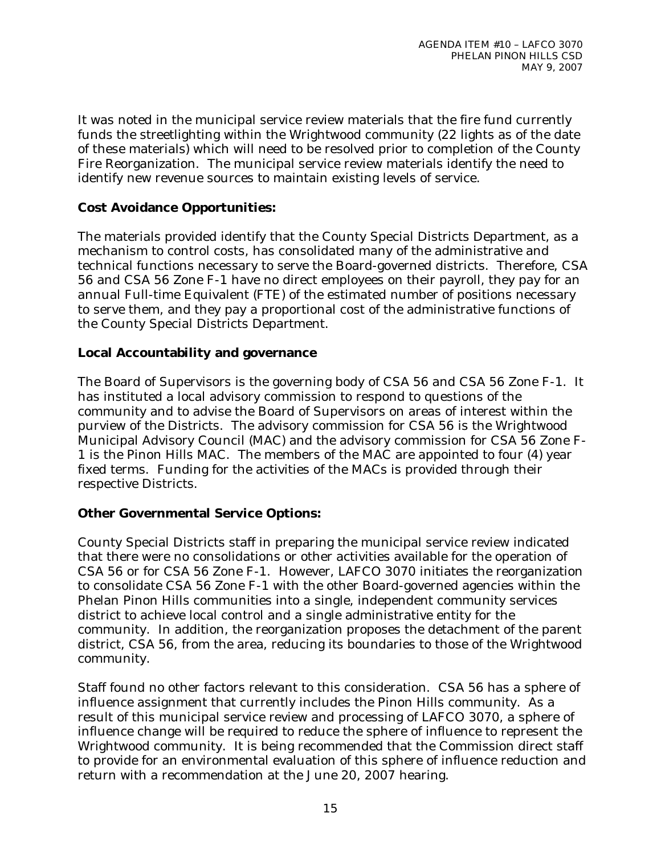It was noted in the municipal service review materials that the fire fund currently funds the streetlighting within the Wrightwood community (22 lights as of the date of these materials) which will need to be resolved prior to completion of the County Fire Reorganization. The municipal service review materials identify the need to identify new revenue sources to maintain existing levels of service.

## **Cost Avoidance Opportunities:**

The materials provided identify that the County Special Districts Department, as a mechanism to control costs, has consolidated many of the administrative and technical functions necessary to serve the Board-governed districts. Therefore, CSA 56 and CSA 56 Zone F-1 have no direct employees on their payroll, they pay for an annual Full-time Equivalent (FTE) of the estimated number of positions necessary to serve them, and they pay a proportional cost of the administrative functions of the County Special Districts Department.

## **Local Accountability and governance**

The Board of Supervisors is the governing body of CSA 56 and CSA 56 Zone F-1. It has instituted a local advisory commission to respond to questions of the community and to advise the Board of Supervisors on areas of interest within the purview of the Districts. The advisory commission for CSA 56 is the Wrightwood Municipal Advisory Council (MAC) and the advisory commission for CSA 56 Zone F-1 is the Pinon Hills MAC. The members of the MAC are appointed to four (4) year fixed terms. Funding for the activities of the MACs is provided through their respective Districts.

## **Other Governmental Service Options:**

County Special Districts staff in preparing the municipal service review indicated that there were no consolidations or other activities available for the operation of CSA 56 or for CSA 56 Zone F-1. However, LAFCO 3070 initiates the reorganization to consolidate CSA 56 Zone F-1 with the other Board-governed agencies within the Phelan Pinon Hills communities into a single, independent community services district to achieve local control and a single administrative entity for the community. In addition, the reorganization proposes the detachment of the parent district, CSA 56, from the area, reducing its boundaries to those of the Wrightwood community.

Staff found no other factors relevant to this consideration. CSA 56 has a sphere of influence assignment that currently includes the Pinon Hills community. As a result of this municipal service review and processing of LAFCO 3070, a sphere of influence change will be required to reduce the sphere of influence to represent the Wrightwood community. It is being recommended that the Commission direct staff to provide for an environmental evaluation of this sphere of influence reduction and return with a recommendation at the June 20, 2007 hearing.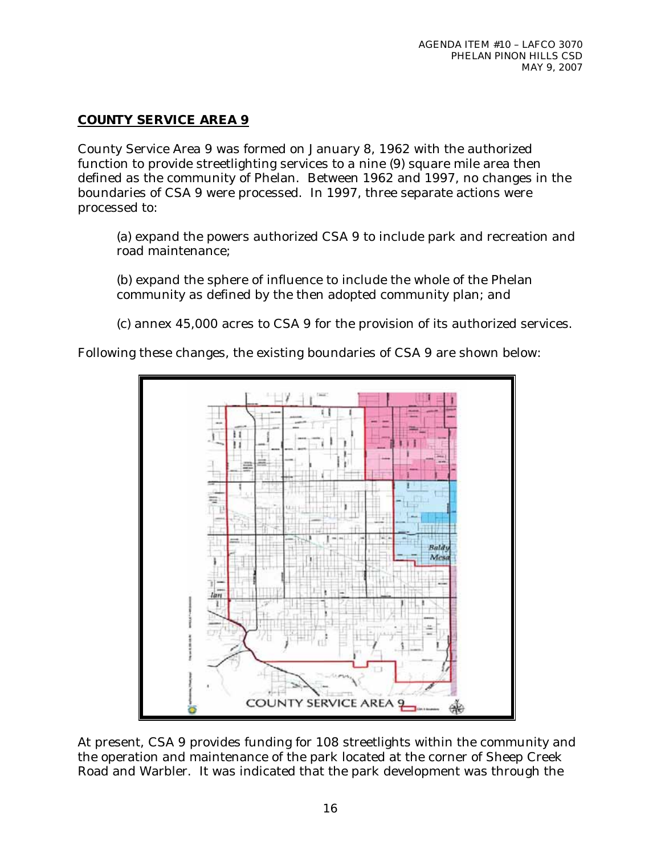## **COUNTY SERVICE AREA 9**

County Service Area 9 was formed on January 8, 1962 with the authorized function to provide streetlighting services to a nine (9) square mile area then defined as the community of Phelan. Between 1962 and 1997, no changes in the boundaries of CSA 9 were processed. In 1997, three separate actions were processed to:

(a) expand the powers authorized CSA 9 to include park and recreation and road maintenance;

(b) expand the sphere of influence to include the whole of the Phelan community as defined by the then adopted community plan; and

(c) annex 45,000 acres to CSA 9 for the provision of its authorized services.

Following these changes, the existing boundaries of CSA 9 are shown below:



At present, CSA 9 provides funding for 108 streetlights within the community and the operation and maintenance of the park located at the corner of Sheep Creek Road and Warbler. It was indicated that the park development was through the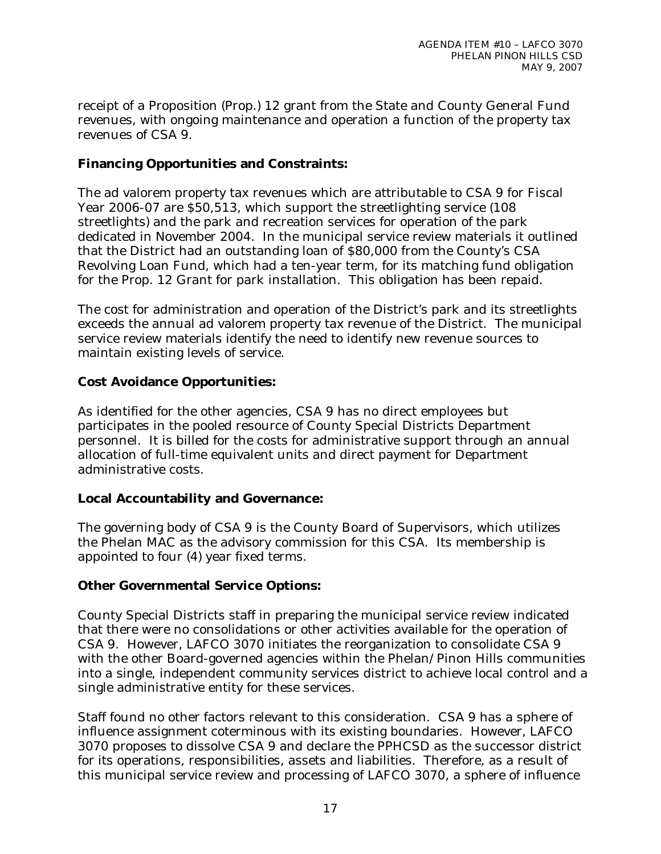receipt of a Proposition (Prop.) 12 grant from the State and County General Fund revenues, with ongoing maintenance and operation a function of the property tax revenues of CSA 9.

### **Financing Opportunities and Constraints:**

The ad valorem property tax revenues which are attributable to CSA 9 for Fiscal Year 2006-07 are \$50,513, which support the streetlighting service (108 streetlights) and the park and recreation services for operation of the park dedicated in November 2004. In the municipal service review materials it outlined that the District had an outstanding loan of \$80,000 from the County's CSA Revolving Loan Fund, which had a ten-year term, for its matching fund obligation for the Prop. 12 Grant for park installation. This obligation has been repaid.

The cost for administration and operation of the District's park and its streetlights exceeds the annual ad valorem property tax revenue of the District. The municipal service review materials identify the need to identify new revenue sources to maintain existing levels of service.

### **Cost Avoidance Opportunities:**

As identified for the other agencies, CSA 9 has no direct employees but participates in the pooled resource of County Special Districts Department personnel. It is billed for the costs for administrative support through an annual allocation of full-time equivalent units and direct payment for Department administrative costs.

### **Local Accountability and Governance:**

The governing body of CSA 9 is the County Board of Supervisors, which utilizes the Phelan MAC as the advisory commission for this CSA. Its membership is appointed to four (4) year fixed terms.

### **Other Governmental Service Options:**

County Special Districts staff in preparing the municipal service review indicated that there were no consolidations or other activities available for the operation of CSA 9. However, LAFCO 3070 initiates the reorganization to consolidate CSA 9 with the other Board-governed agencies within the Phelan/Pinon Hills communities into a single, independent community services district to achieve local control and a single administrative entity for these services.

Staff found no other factors relevant to this consideration. CSA 9 has a sphere of influence assignment coterminous with its existing boundaries. However, LAFCO 3070 proposes to dissolve CSA 9 and declare the PPHCSD as the successor district for its operations, responsibilities, assets and liabilities. Therefore, as a result of this municipal service review and processing of LAFCO 3070, a sphere of influence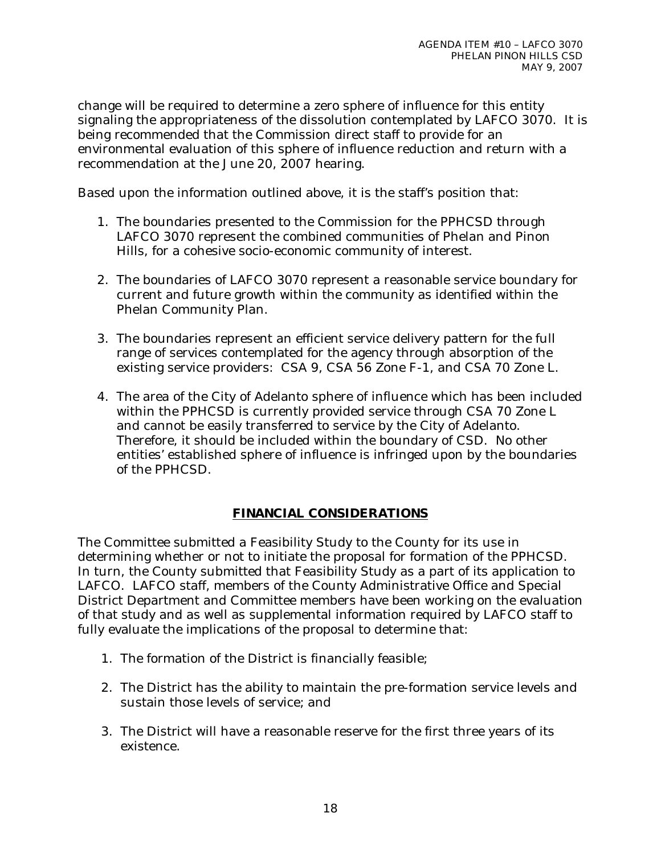change will be required to determine a zero sphere of influence for this entity signaling the appropriateness of the dissolution contemplated by LAFCO 3070. It is being recommended that the Commission direct staff to provide for an environmental evaluation of this sphere of influence reduction and return with a recommendation at the June 20, 2007 hearing.

Based upon the information outlined above, it is the staff's position that:

- 1. The boundaries presented to the Commission for the PPHCSD through LAFCO 3070 represent the combined communities of Phelan and Pinon Hills, for a cohesive socio-economic community of interest.
- 2. The boundaries of LAFCO 3070 represent a reasonable service boundary for current and future growth within the community as identified within the Phelan Community Plan.
- 3. The boundaries represent an efficient service delivery pattern for the full range of services contemplated for the agency through absorption of the existing service providers: CSA 9, CSA 56 Zone F-1, and CSA 70 Zone L.
- 4. The area of the City of Adelanto sphere of influence which has been included within the PPHCSD is currently provided service through CSA 70 Zone L and cannot be easily transferred to service by the City of Adelanto. Therefore, it should be included within the boundary of CSD. No other entities' established sphere of influence is infringed upon by the boundaries of the PPHCSD.

## **FINANCIAL CONSIDERATIONS**

The Committee submitted a Feasibility Study to the County for its use in determining whether or not to initiate the proposal for formation of the PPHCSD. In turn, the County submitted that Feasibility Study as a part of its application to LAFCO. LAFCO staff, members of the County Administrative Office and Special District Department and Committee members have been working on the evaluation of that study and as well as supplemental information required by LAFCO staff to fully evaluate the implications of the proposal to determine that:

- 1. The formation of the District is financially feasible;
- 2. The District has the ability to maintain the pre-formation service levels and sustain those levels of service; and
- 3. The District will have a reasonable reserve for the first three years of its existence.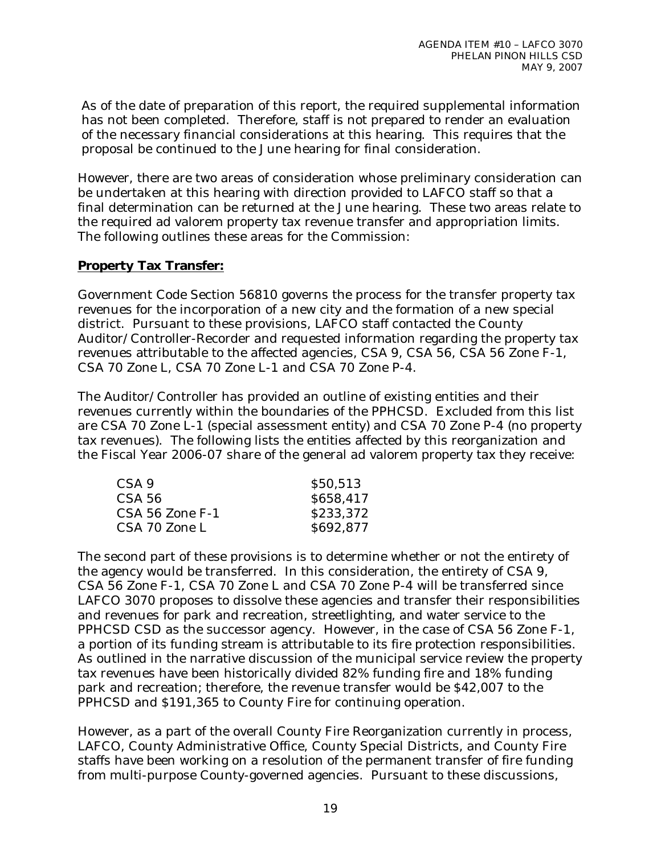As of the date of preparation of this report, the required supplemental information has not been completed. Therefore, staff is not prepared to render an evaluation of the necessary financial considerations at this hearing. This requires that the proposal be continued to the June hearing for final consideration.

However, there are two areas of consideration whose preliminary consideration can be undertaken at this hearing with direction provided to LAFCO staff so that a final determination can be returned at the June hearing. These two areas relate to the required ad valorem property tax revenue transfer and appropriation limits. The following outlines these areas for the Commission:

#### **Property Tax Transfer:**

Government Code Section 56810 governs the process for the transfer property tax revenues for the incorporation of a new city and the formation of a new special district. Pursuant to these provisions, LAFCO staff contacted the County Auditor/Controller-Recorder and requested information regarding the property tax revenues attributable to the affected agencies, CSA 9, CSA 56, CSA 56 Zone F-1, CSA 70 Zone L, CSA 70 Zone L-1 and CSA 70 Zone P-4.

The Auditor/Controller has provided an outline of existing entities and their revenues currently within the boundaries of the PPHCSD. Excluded from this list are CSA 70 Zone L-1 (special assessment entity) and CSA 70 Zone P-4 (no property tax revenues). The following lists the entities affected by this reorganization and the Fiscal Year 2006-07 share of the general ad valorem property tax they receive:

| CSA 9           | \$50,513  |
|-----------------|-----------|
| CSA 56          | \$658,417 |
| CSA 56 Zone F-1 | \$233,372 |
| CSA 70 Zone L   | \$692,877 |

The second part of these provisions is to determine whether or not the entirety of the agency would be transferred. In this consideration, the entirety of CSA 9, CSA 56 Zone F-1, CSA 70 Zone L and CSA 70 Zone P-4 will be transferred since LAFCO 3070 proposes to dissolve these agencies and transfer their responsibilities and revenues for park and recreation, streetlighting, and water service to the PPHCSD CSD as the successor agency. However, in the case of CSA 56 Zone F-1, a portion of its funding stream is attributable to its fire protection responsibilities. As outlined in the narrative discussion of the municipal service review the property tax revenues have been historically divided 82% funding fire and 18% funding park and recreation; therefore, the revenue transfer would be \$42,007 to the PPHCSD and \$191,365 to County Fire for continuing operation.

However, as a part of the overall County Fire Reorganization currently in process, LAFCO, County Administrative Office, County Special Districts, and County Fire staffs have been working on a resolution of the permanent transfer of fire funding from multi-purpose County-governed agencies. Pursuant to these discussions,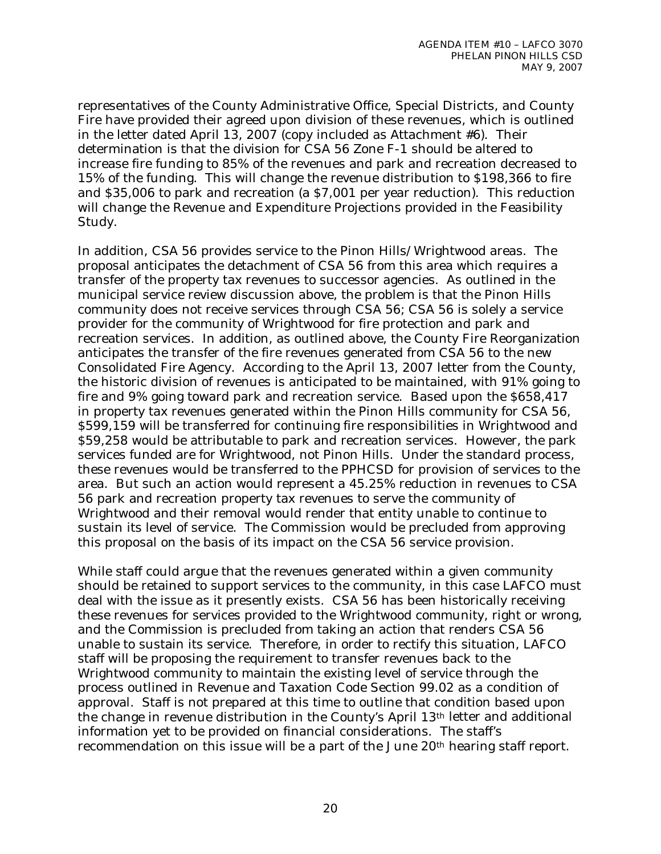representatives of the County Administrative Office, Special Districts, and County Fire have provided their agreed upon division of these revenues, which is outlined in the letter dated April 13, 2007 (copy included as Attachment #6). Their determination is that the division for CSA 56 Zone F-1 should be altered to increase fire funding to 85% of the revenues and park and recreation decreased to 15% of the funding. This will change the revenue distribution to \$198,366 to fire and \$35,006 to park and recreation (a \$7,001 per year reduction). This reduction will change the Revenue and Expenditure Projections provided in the Feasibility Study.

In addition, CSA 56 provides service to the Pinon Hills/Wrightwood areas. The proposal anticipates the detachment of CSA 56 from this area which requires a transfer of the property tax revenues to successor agencies. As outlined in the municipal service review discussion above, the problem is that the Pinon Hills community does not receive services through CSA 56; CSA 56 is solely a service provider for the community of Wrightwood for fire protection and park and recreation services. In addition, as outlined above, the County Fire Reorganization anticipates the transfer of the fire revenues generated from CSA 56 to the new Consolidated Fire Agency. According to the April 13, 2007 letter from the County, the historic division of revenues is anticipated to be maintained, with 91% going to fire and 9% going toward park and recreation service. Based upon the \$658,417 in property tax revenues generated within the Pinon Hills community for CSA 56, \$599,159 will be transferred for continuing fire responsibilities in Wrightwood and \$59,258 would be attributable to park and recreation services. However, the park services funded are for Wrightwood, not Pinon Hills. Under the standard process, these revenues would be transferred to the PPHCSD for provision of services to the area. But such an action would represent a 45.25% reduction in revenues to CSA 56 park and recreation property tax revenues to serve the community of Wrightwood and their removal would render that entity unable to continue to sustain its level of service. The Commission would be precluded from approving this proposal on the basis of its impact on the CSA 56 service provision.

While staff could argue that the revenues generated within a given community should be retained to support services to the community, in this case LAFCO must deal with the issue as it presently exists. CSA 56 has been historically receiving these revenues for services provided to the Wrightwood community, right or wrong, and the Commission is precluded from taking an action that renders CSA 56 unable to sustain its service. Therefore, in order to rectify this situation, LAFCO staff will be proposing the requirement to transfer revenues back to the Wrightwood community to maintain the existing level of service through the process outlined in Revenue and Taxation Code Section 99.02 as a condition of approval. Staff is not prepared at this time to outline that condition based upon the change in revenue distribution in the County's April 13th letter and additional information yet to be provided on financial considerations. The staff's recommendation on this issue will be a part of the June 20th hearing staff report.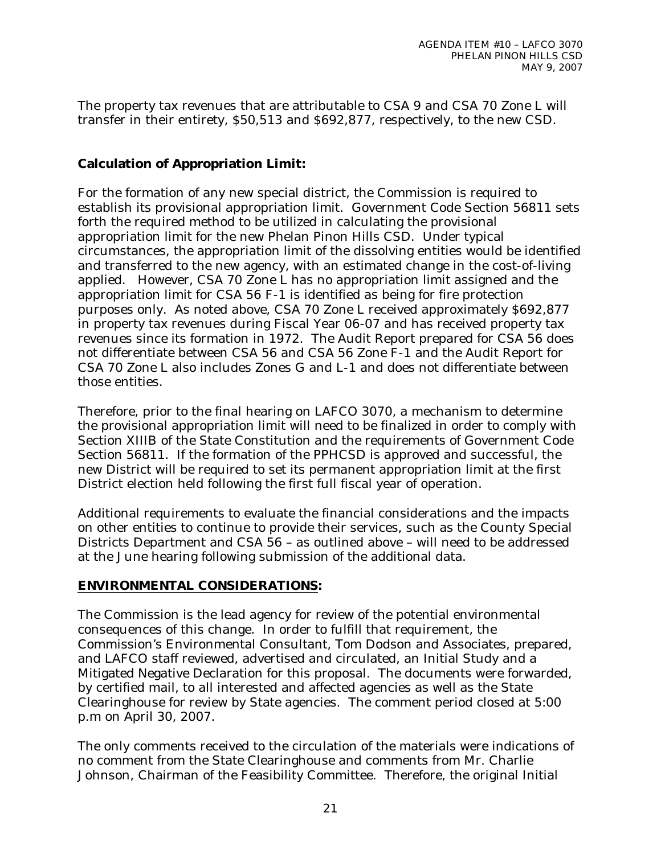The property tax revenues that are attributable to CSA 9 and CSA 70 Zone L will transfer in their entirety, \$50,513 and \$692,877, respectively, to the new CSD.

## **Calculation of Appropriation Limit:**

For the formation of any new special district, the Commission is required to establish its provisional appropriation limit. Government Code Section 56811 sets forth the required method to be utilized in calculating the provisional appropriation limit for the new Phelan Pinon Hills CSD. Under typical circumstances, the appropriation limit of the dissolving entities would be identified and transferred to the new agency, with an estimated change in the cost-of-living applied. However, CSA 70 Zone L has no appropriation limit assigned and the appropriation limit for CSA 56 F-1 is identified as being for fire protection purposes only. As noted above, CSA 70 Zone L received approximately \$692,877 in property tax revenues during Fiscal Year 06-07 and has received property tax revenues since its formation in 1972. The Audit Report prepared for CSA 56 does not differentiate between CSA 56 and CSA 56 Zone F-1 and the Audit Report for CSA 70 Zone L also includes Zones G and L-1 and does not differentiate between those entities.

Therefore, prior to the final hearing on LAFCO 3070, a mechanism to determine the provisional appropriation limit will need to be finalized in order to comply with Section XIIIB of the State Constitution and the requirements of Government Code Section 56811. If the formation of the PPHCSD is approved and successful, the new District will be required to set its permanent appropriation limit at the first District election held following the first full fiscal year of operation.

Additional requirements to evaluate the financial considerations and the impacts on other entities to continue to provide their services, such as the County Special Districts Department and CSA 56 – as outlined above – will need to be addressed at the June hearing following submission of the additional data.

### **ENVIRONMENTAL CONSIDERATIONS:**

The Commission is the lead agency for review of the potential environmental consequences of this change. In order to fulfill that requirement, the Commission's Environmental Consultant, Tom Dodson and Associates, prepared, and LAFCO staff reviewed, advertised and circulated, an Initial Study and a Mitigated Negative Declaration for this proposal. The documents were forwarded, by certified mail, to all interested and affected agencies as well as the State Clearinghouse for review by State agencies. The comment period closed at 5:00 p.m on April 30, 2007.

The only comments received to the circulation of the materials were indications of no comment from the State Clearinghouse and comments from Mr. Charlie Johnson, Chairman of the Feasibility Committee. Therefore, the original Initial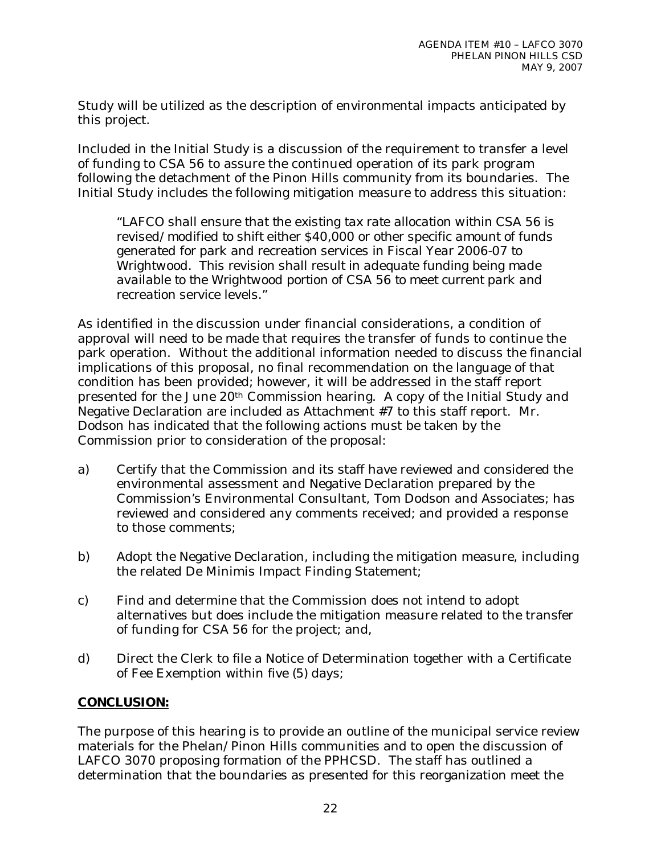Study will be utilized as the description of environmental impacts anticipated by this project.

Included in the Initial Study is a discussion of the requirement to transfer a level of funding to CSA 56 to assure the continued operation of its park program following the detachment of the Pinon Hills community from its boundaries. The Initial Study includes the following mitigation measure to address this situation:

*"LAFCO shall ensure that the existing tax rate allocation within CSA 56 is revised/modified to shift either \$40,000 or other specific amount of funds generated for park and recreation services in Fiscal Year 2006-07 to Wrightwood. This revision shall result in adequate funding being made available to the Wrightwood portion of CSA 56 to meet current park and recreation service levels."* 

As identified in the discussion under financial considerations, a condition of approval will need to be made that requires the transfer of funds to continue the park operation. Without the additional information needed to discuss the financial implications of this proposal, no final recommendation on the language of that condition has been provided; however, it will be addressed in the staff report presented for the June 20th Commission hearing. A copy of the Initial Study and Negative Declaration are included as Attachment #7 to this staff report. Mr. Dodson has indicated that the following actions must be taken by the Commission prior to consideration of the proposal:

- a) Certify that the Commission and its staff have reviewed and considered the environmental assessment and Negative Declaration prepared by the Commission's Environmental Consultant, Tom Dodson and Associates; has reviewed and considered any comments received; and provided a response to those comments;
- b) Adopt the Negative Declaration, including the mitigation measure, including the related De Minimis Impact Finding Statement;
- c) Find and determine that the Commission does not intend to adopt alternatives but does include the mitigation measure related to the transfer of funding for CSA 56 for the project; and,
- d) Direct the Clerk to file a Notice of Determination together with a Certificate of Fee Exemption within five (5) days;

### **CONCLUSION:**

The purpose of this hearing is to provide an outline of the municipal service review materials for the Phelan/Pinon Hills communities and to open the discussion of LAFCO 3070 proposing formation of the PPHCSD. The staff has outlined a determination that the boundaries as presented for this reorganization meet the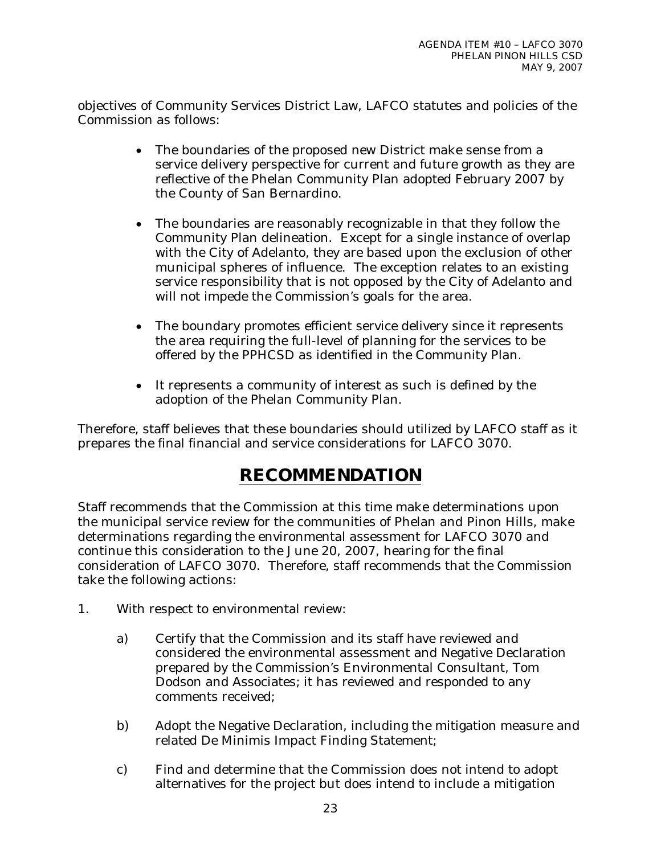objectives of Community Services District Law, LAFCO statutes and policies of the Commission as follows:

- The boundaries of the proposed new District make sense from a service delivery perspective for current and future growth as they are reflective of the Phelan Community Plan adopted February 2007 by the County of San Bernardino.
- The boundaries are reasonably recognizable in that they follow the Community Plan delineation. Except for a single instance of overlap with the City of Adelanto, they are based upon the exclusion of other municipal spheres of influence. The exception relates to an existing service responsibility that is not opposed by the City of Adelanto and will not impede the Commission's goals for the area.
- The boundary promotes efficient service delivery since it represents the area requiring the full-level of planning for the services to be offered by the PPHCSD as identified in the Community Plan.
- It represents a community of interest as such is defined by the adoption of the Phelan Community Plan.

Therefore, staff believes that these boundaries should utilized by LAFCO staff as it prepares the final financial and service considerations for LAFCO 3070.

# **RECOMMENDATION**

Staff recommends that the Commission at this time make determinations upon the municipal service review for the communities of Phelan and Pinon Hills, make determinations regarding the environmental assessment for LAFCO 3070 and continue this consideration to the June 20, 2007, hearing for the final consideration of LAFCO 3070. Therefore, staff recommends that the Commission take the following actions:

- 1. With respect to environmental review:
	- a) Certify that the Commission and its staff have reviewed and considered the environmental assessment and Negative Declaration prepared by the Commission's Environmental Consultant, Tom Dodson and Associates; it has reviewed and responded to any comments received;
	- b) Adopt the Negative Declaration, including the mitigation measure and related De Minimis Impact Finding Statement;
	- c) Find and determine that the Commission does not intend to adopt alternatives for the project but does intend to include a mitigation